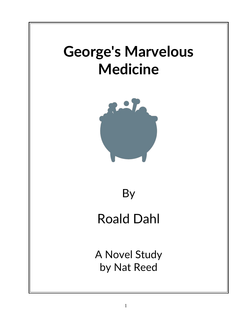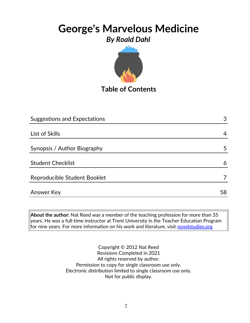

**Table of Contents**

| <b>Suggestions and Expectations</b> | 3  |
|-------------------------------------|----|
|                                     |    |
| List of Skills                      | 4  |
|                                     |    |
| Synopsis / Author Biography         | 5  |
|                                     |    |
| <b>Student Checklist</b>            | 6  |
| Reproducible Student Booklet        |    |
|                                     |    |
| <b>Answer Key</b>                   | 58 |

**About the author:** Nat Reed was a member of the teaching profession for more than 35 years. He was a full-time instructor at Trent University in the Teacher Education Program for nine years. For more information on his work and literature, visit [novelstudies.org](http://www.novelstudies.org/)

> Copyright © 2012 Nat Reed Revisions Completed in 2021 All rights reserved by author. Permission to copy for single classroom use only. Electronic distribution limited to single classroom use only. Not for public display.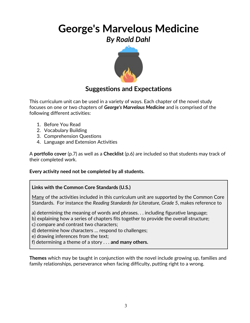

## **Suggestions and Expectations**

This curriculum unit can be used in a variety of ways. Each chapter of the novel study focuses on one or two chapters of *George's Marvelous Medicine* and is comprised of the following different activities:

- 1. Before You Read
- 2. Vocabulary Building
- 3. Comprehension Questions
- 4. Language and Extension Activities

A **portfolio cover** (p.7) as well as a **Checklist** (p.6) are included so that students may track of their completed work.

#### **Every activity need not be completed by all students.**

#### **Links with the Common Core Standards (U.S.)**

Many of the activities included in this curriculum unit are supported by the Common Core Standards. For instance the *Reading Standards for Literature, Grade 5*, makes reference to

a) determining the meaning of words and phrases. . . including figurative language;

b) explaining how a series of chapters fits together to provide the overall structure;

c) compare and contrast two characters;

d) determine how characters … respond to challenges;

e) drawing inferences from the text;

f) determining a theme of a story . . . **and many others.**

**Themes** which may be taught in conjunction with the novel include growing up, families and family relationships, perseverance when facing difficulty, putting right to a wrong.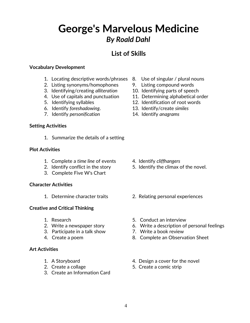## **List of Skills**

#### **Vocabulary Development**

- 1. Locating descriptive words/phrases 8. Use of singular / plural nouns
- 2. Listing synonyms/homophones 9. Listing compound words
- 3. Identifying/creating *alliteration* 10. Identifying parts of speech
- 
- 
- 6. Identify *foreshadowing*. 13. Identify/create *similes*
- 7. Identify *personification* 14. Identify *anagrams*

#### **Setting Activities**

1. Summarize the details of a setting

#### **Plot Activities**

- 1. Complete a *time line* of events 4. Identify *cliffhangers*
- 
- 3. Complete Five W's Chart

#### **Character Activities**

#### **Creative and Critical Thinking**

- 
- 
- 3. Participate in a talk show 7. Write a book review
- 

#### **Art Activities**

- 
- 
- 3. Create an Information Card
- 
- 
- 
- 4. Use of capitals and punctuation 11. Determining alphabetical order
- 5. Identifying syllables 12. Identification of root words
	-
	-

- 
- 2. Identify conflict in the story 5. Identify the climax of the novel.
- 1. Determine character traits 2. Relating personal experiences
- 1. Research 5. Conduct an interview
- 2. Write a newspaper story 6. Write a description of personal feelings
	-
- 4. Create a poem 8. Complete an Observation Sheet
- 1. A Storyboard **1.** A Storyboard **1.** A Storyboard
- 2. Create a collage 5. Create a comic strip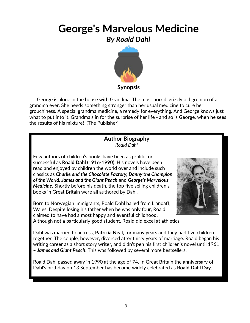

 George is alone in the house with Grandma. The most horrid, grizzly old grunion of a grandma ever. She needs something stronger than her usual medicine to cure her grouchiness. A special grandma medicine, a remedy for everything. And George knows just what to put into it. Grandma's in for the surprise of her life - and so is George, when he sees the results of his mixture! (The Publisher)

#### **Author Biography** *Roald Dahl*

Few authors of children's books have been as prolific or successful as **Roald Dahl** (1916-1990). His novels have been read and enjoyed by children the world over and include such classics as *Charlie and the Chocolate Factory, Danny the Champion of the World, James and the Giant Peach* and *George's Marvelous Medicine.* Shortly before his death, the top five selling children's books in Great Britain were all authored by Dahl.

Born to Norwegian immigrants, Roald Dahl hailed from Llandaff, Wales. Despite losing his father when he was only four, Roald claimed to have had a most happy and eventful childhood.



Although not a particularly good student, Roald did excel at athletics.

Dahl was married to actress, **Patricia Neal,** for many years and they had five children together. The couple, however, divorced after thirty years of marriage. Roald began his writing career as a short story writer, and didn't pen his first children's novel until 1961 – *James and Giant Peach*. This was followed by several more bestsellers.

Roald Dahl passed away in 1990 at the age of 74. In Great Britain the anniversary of Dahl's birthday on [13 September](http://en.wikipedia.org/wiki/September_13) has become widely celebrated as **Roald Dahl Day**.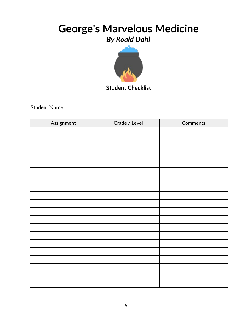

Student Name

| Assignment | Grade / Level | Comments |
|------------|---------------|----------|
|            |               |          |
|            |               |          |
|            |               |          |
|            |               |          |
|            |               |          |
|            |               |          |
|            |               |          |
|            |               |          |
|            |               |          |
|            |               |          |
|            |               |          |
|            |               |          |
|            |               |          |
|            |               |          |
|            |               |          |
|            |               |          |
|            |               |          |
|            |               |          |
|            |               |          |
|            |               |          |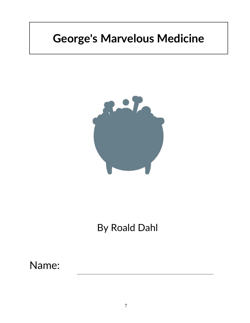# **George's Marvelous Medicine**



# By Roald Dahl

Name: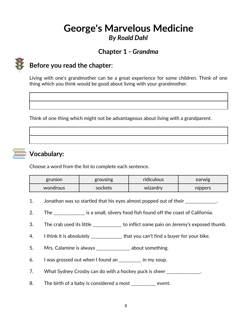## **Chapter 1 -** *Grandma*



### **Before you read the chapter**:

Living with one's grandmother can be a great experience for some children. Think of one thing which you think would be good about living with your grandmother.

Think of one thing which might not be advantageous about living with a grandparent.



## **Vocabulary:**

Choose a word from the list to complete each sentence.

| grunion  | grousing | ridiculous | earwig  |
|----------|----------|------------|---------|
| wondrous | sockets  | wizardry   | nippers |

- 1. Jonathan was so startled that his eyes almost popped out of their \_\_\_\_\_\_\_\_\_\_\_\_.
- 2. The \_\_\_\_\_\_\_\_\_\_\_\_ is a small, silvery food fish found off the coast of California.
- 3. The crab used its little **the crapt of the inflict some pain on Jeremy's exposed thumb.**
- 4. I think it is absolutely \_\_\_\_\_\_\_\_\_\_\_\_\_\_ that you can't find a buyer for your bike.
- 5. Mrs. Calamine is always \_\_\_\_\_\_\_\_\_\_\_\_\_\_\_ about something.
- 6. I was grossed out when I found an \_\_\_\_\_\_\_\_\_\_ in my soup.
- 7. What Sydney Crosby can do with a hockey puck is sheer \_\_\_\_\_\_\_\_\_\_\_\_\_\_.
- 8. The birth of a baby is considered a most \_\_\_\_\_\_\_\_\_ event.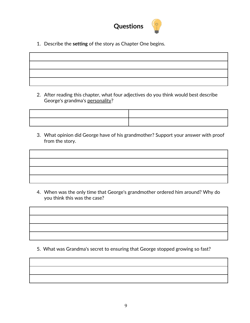

1. Describe the **setting** of the story as Chapter One begins.

2. After reading this chapter, what four adjectives do you think would best describe George's grandma's personality?



3. What opinion did George have of his grandmother? Support your answer with proof from the story.

4. When was the only time that George's grandmother ordered him around? Why do you think this was the case?

5. What was Grandma's secret to ensuring that George stopped growing so fast?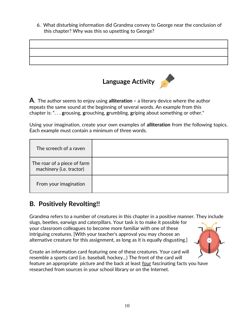6. What disturbing information did Grandma convey to George near the conclusion of this chapter? Why was this so upsetting to George?



**A**. The author seems to enjoy using **alliteration –** a literary device where the author **r**epeats the same sound at the beginning of several words. An example from this chapter is: ". . . **g**rousing, **g**rouching, **g**rumbling, **g**riping about something or other."

Using your imagination, create your own examples of **alliteration** from the following topics. Each example must contain a minimum of three words.

| The screech of a raven                                  |  |
|---------------------------------------------------------|--|
| The roar of a piece of farm<br>machinery (i.e. tractor) |  |
| From your imagination                                   |  |

## **B. Positively Revolting!!**

Grandma refers to a number of creatures in this chapter in a positive manner. They include slugs, beetles, earwigs and caterpillars. Your task is to make it possible for your classroom colleagues to become more familiar with one of these intriguing creatures. [With your teacher's approval you may choose an alternative creature for this assignment, as long as it is equally disgusting.]

Create an information card featuring one of these creatures. Your card will resemble a sports card (i.e. baseball, hockey...) The front of the card will feature an appropriate picture and the back at least four fascinating facts you have researched from sources in your school library or on the Internet.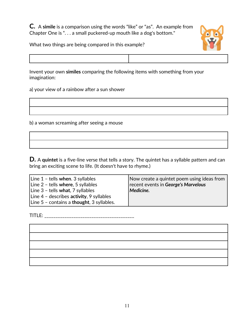**C.** A **simile** is a comparison using the words "like" or "as". An example from Chapter One is ". . . a small puckered-up mouth like a dog's bottom."



What two things are being compared in this example?



Invent your own **similes** comparing the following items with something from your imagination:

a) your view of a rainbow after a sun shower

b) a woman screaming after seeing a mouse

**D.** A **quintet** is a five-line verse that tells a story. The quintet has a syllable pattern and can bring an exciting scene to life. (It doesn't have to rhyme.)

| Line 1 - tells when. 3 syllables                    | Now create a quintet poem using ideas from |
|-----------------------------------------------------|--------------------------------------------|
| Line $2$ - tells where, 5 syllables                 | recent events in George's Marvelous        |
| Line 3 - tells what, 7 syllables                    | Medicine.                                  |
| Line $4$ - describes activity, 9 syllables          |                                            |
| Line $5$ – contains a <b>thought</b> , 3 syllables. |                                            |

TITLE: \_\_\_\_\_\_\_\_\_\_\_\_\_\_\_\_\_\_\_\_\_\_\_\_\_\_\_\_\_\_\_\_\_\_\_\_\_\_\_\_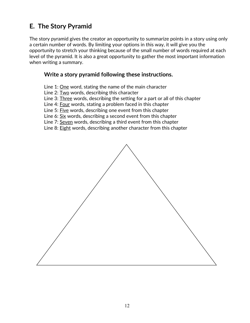## **E. The Story Pyramid**

The story pyramid gives the creator an opportunity to summarize points in a story using only a certain number of words. By limiting your options in this way, it will give you the opportunity to stretch your thinking because of the small number of words required at each level of the pyramid. It is also a great opportunity to gather the most important information when writing a summary.

#### **Write a story pyramid following these instructions.**

Line 1: One word, stating the name of the main character

Line 2: Two words, describing this character

Line 3: Three words, describing the setting for a part or all of this chapter

Line 4: Four words, stating a problem faced in this chapter

Line 5: Five words, describing one event from this chapter

Line 6: Six words, describing a second event from this chapter

Line 7: Seven words, describing a third event from this chapter

Line 8: Eight words, describing another character from this chapter